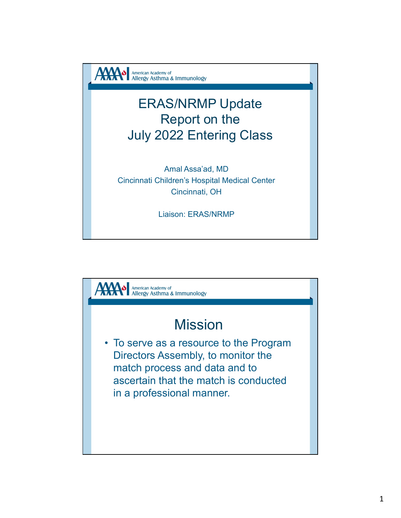

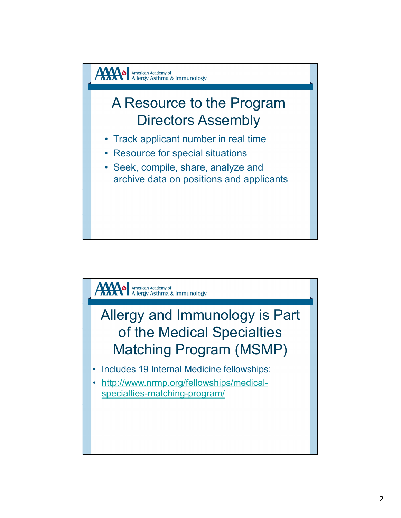

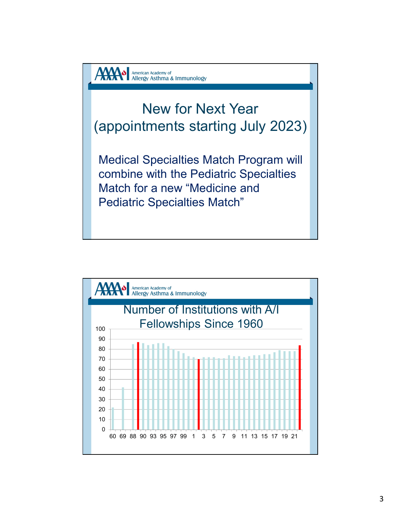

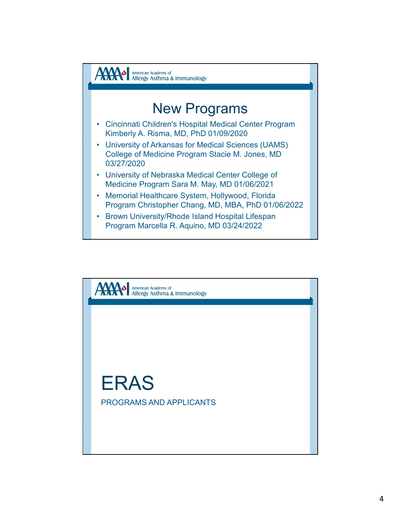

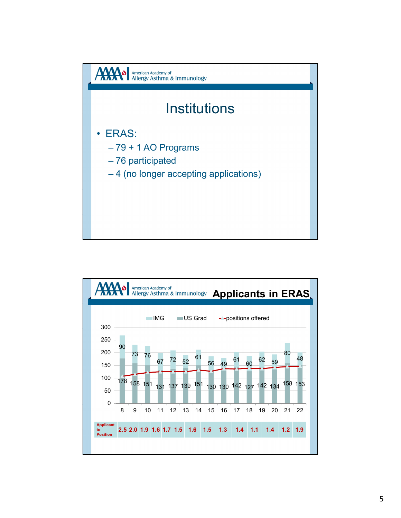

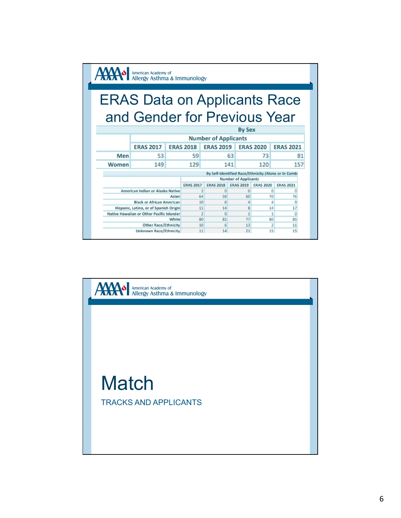|       | American Academy of<br>Allergy Asthma & Immunology |       |                  |                             |     |                             |                      |                                                      |    |
|-------|----------------------------------------------------|-------|------------------|-----------------------------|-----|-----------------------------|----------------------|------------------------------------------------------|----|
|       | <b>ERAS Data on Applicants Race</b>                |       |                  |                             |     |                             |                      |                                                      |    |
|       | and Gender for Previous Year                       |       |                  |                             |     |                             |                      |                                                      |    |
|       |                                                    |       |                  |                             |     | <b>By Sex</b>               |                      |                                                      |    |
|       |                                                    |       |                  | <b>Number of Applicants</b> |     |                             |                      |                                                      |    |
|       | <b>ERAS 2017</b>                                   |       | <b>ERAS 2018</b> | <b>ERAS 2019</b>            |     |                             | <b>ERAS 2020</b>     | <b>ERAS 2021</b>                                     |    |
| Men   | 53                                                 |       | 59               |                             | 63  |                             | 73                   |                                                      | 81 |
| Women | 149                                                |       | 129              |                             | 141 |                             | 120                  | 157                                                  |    |
|       |                                                    |       |                  |                             |     |                             |                      | By Self-Identified Race/Ethnicity (Alone or In Combi |    |
|       |                                                    |       |                  |                             |     | <b>Number of Applicants</b> |                      |                                                      |    |
|       |                                                    |       | <b>ERAS 2017</b> | <b>ERAS 2018</b>            |     | <b>ERAS 2019</b>            | <b>ERAS 2020</b>     | <b>ERAS 2021</b>                                     |    |
|       | American Indian or Alaska Native                   |       |                  | $\overline{0}$              |     | $\Omega$                    | $\Omega$             |                                                      |    |
|       | <b>Black or African American</b>                   | Asian | 64<br>10         | 59<br>$6 \overline{6}$      |     | 60                          | 70<br>$\overline{a}$ | 76                                                   |    |
|       | Hispanic, Latino, or of Spanish Origin             |       | 11               | 14                          |     | $\overline{4}$<br>8         | 14                   | 9<br>17                                              |    |
|       | Native Hawaiian or Other Pacific Islander          |       | $\overline{2}$   | $\Omega$                    |     | $\mathbf{1}$                | $\mathbf{1}$         | $\Omega$                                             |    |
|       |                                                    | White | 80               | 81                          |     | 77                          | 80                   | 85                                                   |    |
|       | <b>Other Race/Ethnicity</b>                        |       | 10               | $6 \mid$                    |     | 13                          | $\overline{2}$       | 11                                                   |    |
|       | <b>Unknown Race/Ethnicity</b>                      |       | 11               | 14                          |     | 21                          | 15                   | 15                                                   |    |

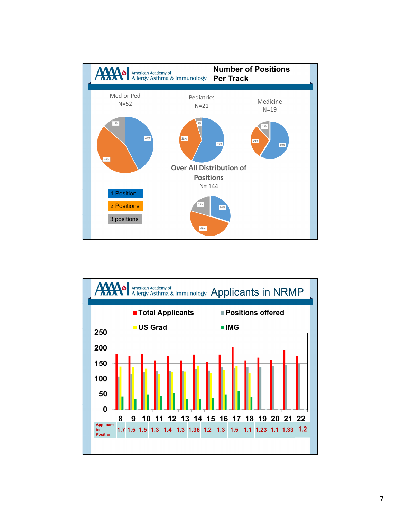

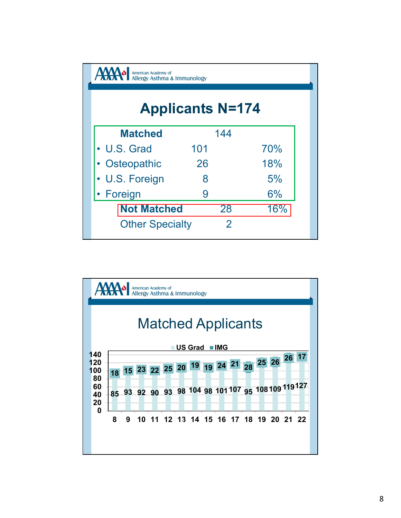| American Academy of<br>Allergy Asthma & Immunology |                         |     |
|----------------------------------------------------|-------------------------|-----|
|                                                    |                         |     |
|                                                    | <b>Applicants N=174</b> |     |
|                                                    |                         |     |
| <b>Matched</b>                                     | 144                     |     |
| • U.S. Grad                                        | 101                     | 70% |
| • Osteopathic                                      | 26                      | 18% |
| • U.S. Foreign                                     | 8                       | 5%  |
| • Foreign                                          | 9                       | 6%  |
| <b>Not Matched</b>                                 | 28                      | 16% |
| <b>Other Specialty</b>                             | $\overline{2}$          |     |
|                                                    |                         |     |
|                                                    |                         |     |

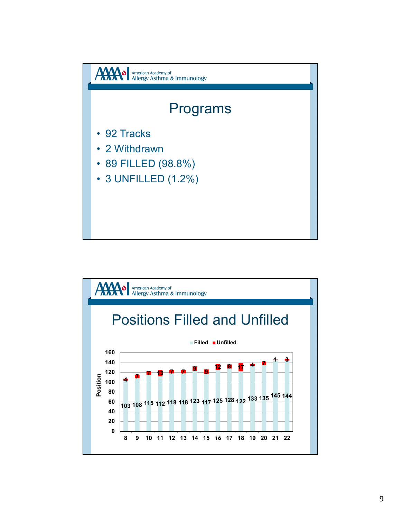

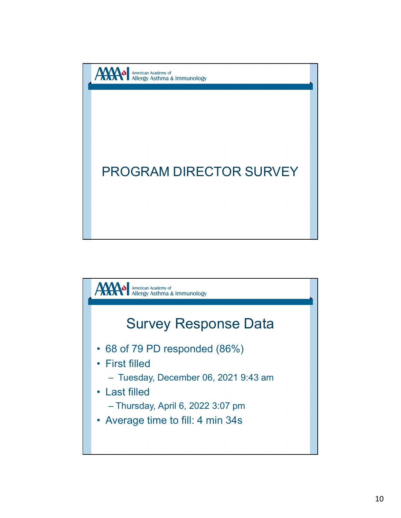

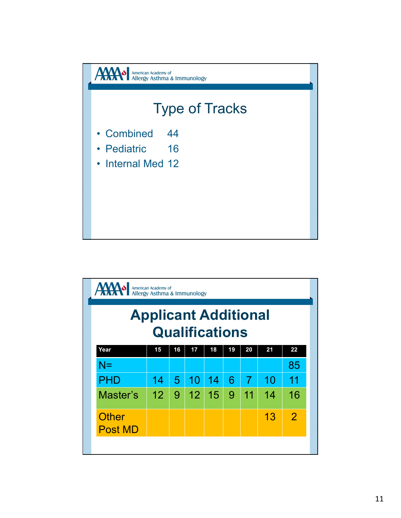

| <b>AXXVI</b>                   | American Academy of<br>Allergy Asthma & Immunology |                |                       |    |                 |                |    |                |
|--------------------------------|----------------------------------------------------|----------------|-----------------------|----|-----------------|----------------|----|----------------|
|                                | <b>Applicant Additional</b>                        |                |                       |    |                 |                |    |                |
|                                |                                                    |                | <b>Qualifications</b> |    |                 |                |    |                |
| Year                           | 15                                                 | 16             | 17                    | 18 | 19              | 20             | 21 | 22             |
| $N =$                          |                                                    |                |                       |    |                 |                |    | 85             |
| <b>PHD</b>                     | 14                                                 | 5 <sup>1</sup> | 10                    | 14 | $6\phantom{1}6$ | $\overline{7}$ | 10 | 11             |
| Master's                       | 12                                                 | 9              | 12                    | 15 | 9               | 11             | 14 | 16             |
| <b>Other</b><br><b>Post MD</b> |                                                    |                |                       |    |                 |                | 13 | $\overline{2}$ |
|                                |                                                    |                |                       |    |                 |                |    |                |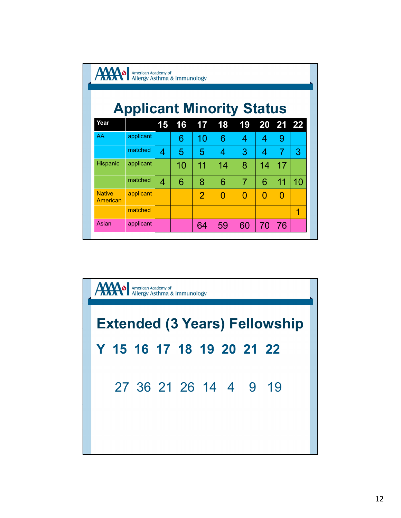|               | AMO American Academy of Allergy Asthma & Immunology |                |                       |                       |                 |                |                |                |                |
|---------------|-----------------------------------------------------|----------------|-----------------------|-----------------------|-----------------|----------------|----------------|----------------|----------------|
|               |                                                     |                |                       |                       |                 |                |                |                |                |
|               | <b>Applicant Minority Status</b>                    |                |                       |                       |                 |                |                |                |                |
|               |                                                     |                |                       | 17                    | 18              | 19             |                | 20 21 22       |                |
| Year          |                                                     |                |                       |                       |                 |                |                |                |                |
| AA            | applicant                                           | 15             | 16<br>$6\phantom{1}6$ |                       | $6\phantom{1}6$ | 4              | $\overline{4}$ | 9              |                |
|               | matched                                             | $\overline{4}$ | 5                     | 10<br>$5\overline{)}$ | $\overline{4}$  | 3              | $\overline{4}$ | $\overline{7}$ | 3              |
| Hispanic      | applicant                                           |                | 10                    | 11                    | 14              | 8              | 14             | 17             |                |
|               | matched                                             | $\overline{4}$ | $6\phantom{1}6$       | 8                     | $6\phantom{1}6$ | $\overline{7}$ | $6\phantom{1}$ | 11             | 10             |
| <b>Native</b> | applicant                                           |                |                       | $\overline{2}$        | $\overline{0}$  | $\overline{0}$ | $\overline{0}$ | $\overline{0}$ |                |
| American      | matched                                             |                |                       |                       |                 |                |                |                | $\overline{1}$ |

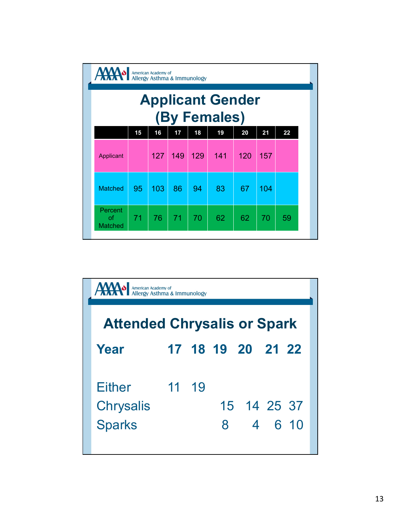| AMO American Academy of Allergy Asthma & Immunology |    |     |     |     | <b>Applicant Gender</b> |     |     |    |
|-----------------------------------------------------|----|-----|-----|-----|-------------------------|-----|-----|----|
|                                                     |    |     |     |     | (By Females)            |     |     |    |
|                                                     | 15 | 16  | 17  | 18  | 19                      | 20  | 21  | 22 |
| Applicant                                           |    | 127 | 149 | 129 | 141                     | 120 | 157 |    |
| Matched                                             | 95 | 103 | 86  | 94  | 83                      | 67  | 104 |    |
| Percent<br>of<br>Matched                            | 71 | 76  | 71  | 70  | 62                      | 62  | 70  | 59 |
|                                                     |    |     |     |     |                         |     |     |    |

| Percent<br>62<br>71<br>76<br>71<br>70<br>62<br>70<br>59<br>of<br>Matched<br>American Academy of<br>Allergy Asthma & Immunology |
|--------------------------------------------------------------------------------------------------------------------------------|
|                                                                                                                                |
|                                                                                                                                |
|                                                                                                                                |
|                                                                                                                                |
| <b>Attended Chrysalis or Spark</b>                                                                                             |
| 17 18 19 20<br>21 22<br>Year                                                                                                   |
| 19<br><b>Either</b><br>11                                                                                                      |
| 15 14 25 37<br><b>Chrysalis</b>                                                                                                |
| <b>Sparks</b><br>8<br>6 10<br>4                                                                                                |
|                                                                                                                                |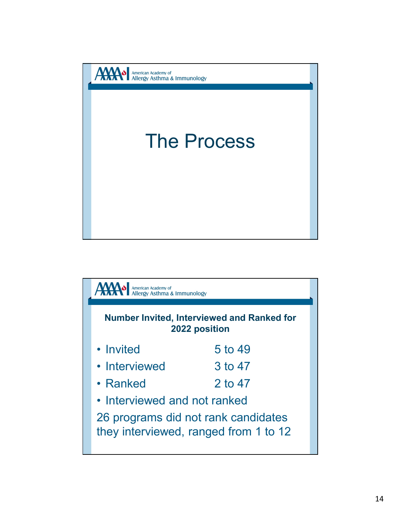

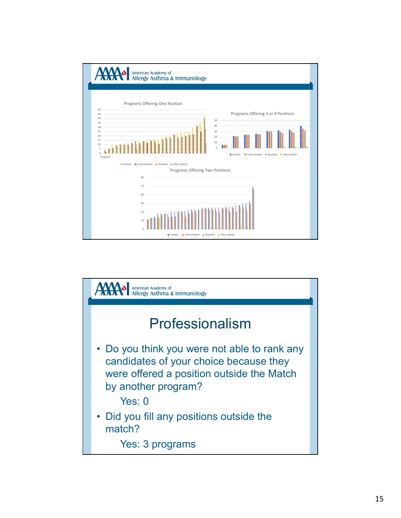